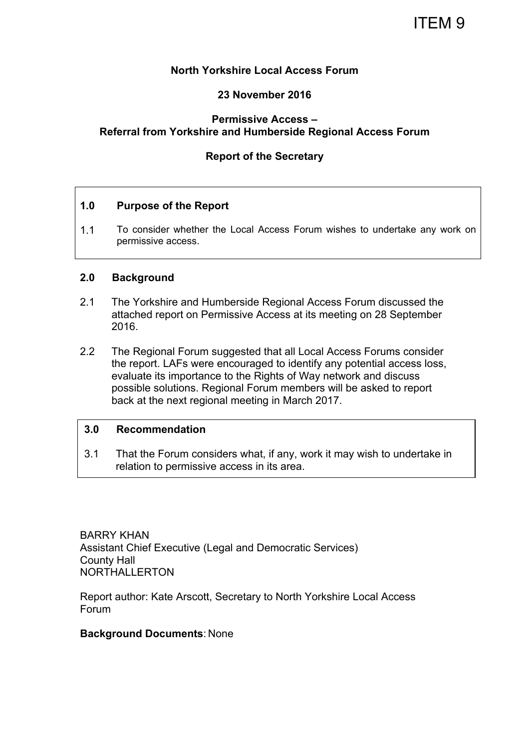# ITEM 9

# **North Yorkshire Local Access Forum**

## **23 November 2016**

# **Permissive Access – Referral from Yorkshire and Humberside Regional Access Forum**

# **Report of the Secretary**

## **1.0 Purpose of the Report**

1.1 To consider whether the Local Access Forum wishes to undertake any work on permissive access.

## **2.0 Background**

- 2.1 The Yorkshire and Humberside Regional Access Forum discussed the attached report on Permissive Access at its meeting on 28 September 2016.
- 2.2 The Regional Forum suggested that all Local Access Forums consider the report. LAFs were encouraged to identify any potential access loss, evaluate its importance to the Rights of Way network and discuss possible solutions. Regional Forum members will be asked to report back at the next regional meeting in March 2017.

## **3.0 Recommendation**

3.1 That the Forum considers what, if any, work it may wish to undertake in relation to permissive access in its area.

BARRY KHAN Assistant Chief Executive (Legal and Democratic Services) County Hall NORTHALLERTON

Report author: Kate Arscott, Secretary to North Yorkshire Local Access Forum

## **Background Documents**: None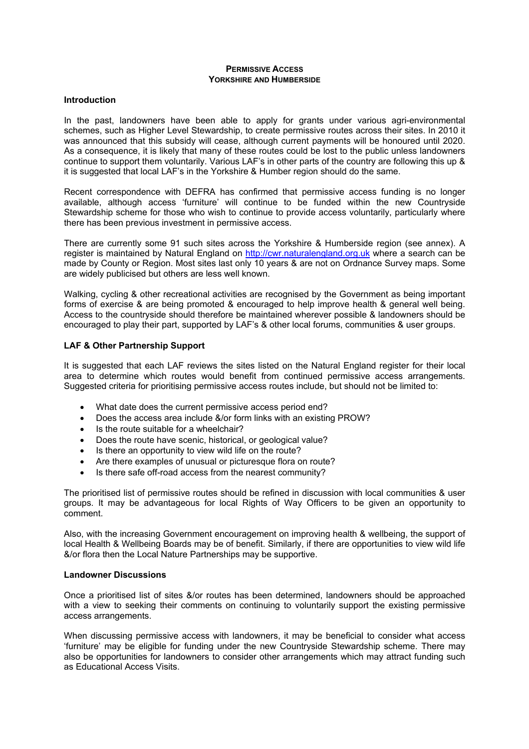#### **PERMISSIVE ACCESS YORKSHIRE AND HUMBERSIDE**

#### **Introduction**

In the past, landowners have been able to apply for grants under various agri-environmental schemes, such as Higher Level Stewardship, to create permissive routes across their sites. In 2010 it was announced that this subsidy will cease, although current payments will be honoured until 2020. As a consequence, it is likely that many of these routes could be lost to the public unless landowners continue to support them voluntarily. Various LAF's in other parts of the country are following this up & it is suggested that local LAF's in the Yorkshire & Humber region should do the same.

Recent correspondence with DEFRA has confirmed that permissive access funding is no longer available, although access 'furniture' will continue to be funded within the new Countryside Stewardship scheme for those who wish to continue to provide access voluntarily, particularly where there has been previous investment in permissive access.

There are currently some 91 such sites across the Yorkshire & Humberside region (see annex). A register is maintained by Natural England on http://cwr.naturalengland.org.uk where a search can be made by County or Region. Most sites last only 10 years & are not on Ordnance Survey maps. Some are widely publicised but others are less well known.

Walking, cycling & other recreational activities are recognised by the Government as being important forms of exercise & are being promoted & encouraged to help improve health & general well being. Access to the countryside should therefore be maintained wherever possible & landowners should be encouraged to play their part, supported by LAF's & other local forums, communities & user groups.

## **LAF & Other Partnership Support**

It is suggested that each LAF reviews the sites listed on the Natural England register for their local area to determine which routes would benefit from continued permissive access arrangements. Suggested criteria for prioritising permissive access routes include, but should not be limited to:

- What date does the current permissive access period end?
- Does the access area include &/or form links with an existing PROW?
- Is the route suitable for a wheelchair?
- Does the route have scenic, historical, or geological value?
- Is there an opportunity to view wild life on the route?
- Are there examples of unusual or picturesque flora on route?
- Is there safe off-road access from the nearest community?

The prioritised list of permissive routes should be refined in discussion with local communities & user groups. It may be advantageous for local Rights of Way Officers to be given an opportunity to comment.

Also, with the increasing Government encouragement on improving health & wellbeing, the support of local Health & Wellbeing Boards may be of benefit. Similarly, if there are opportunities to view wild life &/or flora then the Local Nature Partnerships may be supportive.

#### **Landowner Discussions**

Once a prioritised list of sites &/or routes has been determined, landowners should be approached with a view to seeking their comments on continuing to voluntarily support the existing permissive access arrangements.

When discussing permissive access with landowners, it may be beneficial to consider what access 'furniture' may be eligible for funding under the new Countryside Stewardship scheme. There may also be opportunities for landowners to consider other arrangements which may attract funding such as Educational Access Visits.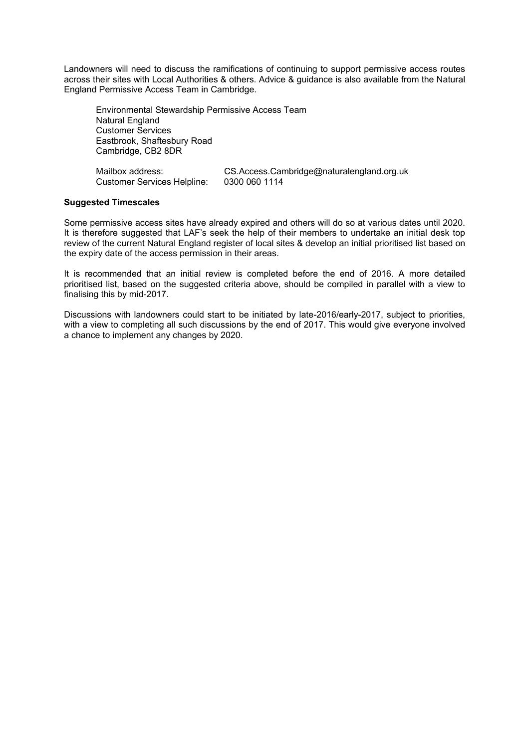Landowners will need to discuss the ramifications of continuing to support permissive access routes across their sites with Local Authorities & others. Advice & guidance is also available from the Natural England Permissive Access Team in Cambridge.

Environmental Stewardship Permissive Access Team Natural England Customer Services Eastbrook, Shaftesbury Road Cambridge, CB2 8DR

| Mailbox address:                   | CS.Access.Cambridge@naturalengland.org.uk |
|------------------------------------|-------------------------------------------|
| <b>Customer Services Helpline:</b> | 0300 060 1114                             |

#### **Suggested Timescales**

Some permissive access sites have already expired and others will do so at various dates until 2020. It is therefore suggested that LAF's seek the help of their members to undertake an initial desk top review of the current Natural England register of local sites & develop an initial prioritised list based on the expiry date of the access permission in their areas.

It is recommended that an initial review is completed before the end of 2016. A more detailed prioritised list, based on the suggested criteria above, should be compiled in parallel with a view to finalising this by mid-2017.

Discussions with landowners could start to be initiated by late-2016/early-2017, subject to priorities, with a view to completing all such discussions by the end of 2017. This would give everyone involved a chance to implement any changes by 2020.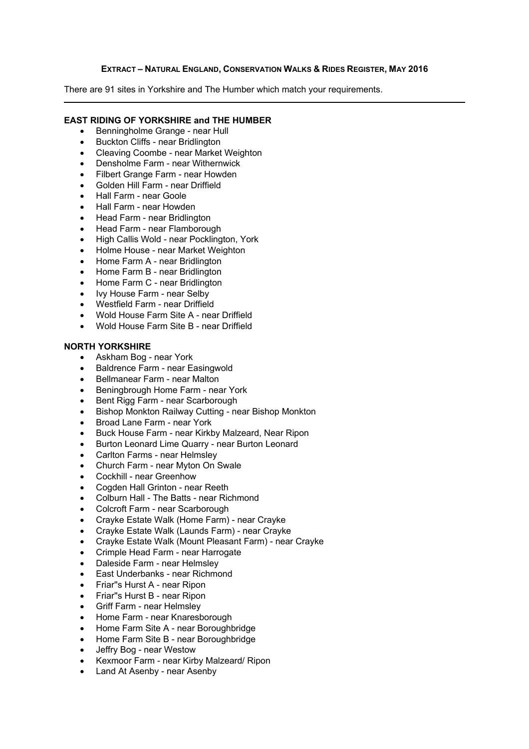### **EXTRACT – NATURAL ENGLAND, CONSERVATION WALKS & RIDES REGISTER, MAY 2016**

There are 91 sites in Yorkshire and The Humber which match your requirements.

#### **EAST RIDING OF YORKSHIRE and THE HUMBER**

- Benningholme Grange near Hull
- Buckton Cliffs near Bridlington
- Cleaving Coombe near Market Weighton
- Densholme Farm near Withernwick
- Filbert Grange Farm near Howden
- Golden Hill Farm near Driffield
- Hall Farm near Goole
- Hall Farm near Howden
- Head Farm near Bridlington
- Head Farm near Flamborough
- High Callis Wold near Pocklington, York
- Holme House near Market Weighton
- Home Farm A near Bridlington
- Home Farm B near Bridlington
- Home Farm C near Bridlington
- Ivy House Farm near Selby
- Westfield Farm near Driffield
- Wold House Farm Site A near Driffield
- Wold House Farm Site B near Driffield

## **NORTH YORKSHIRE**

- Askham Bog near York
- Baldrence Farm near Easingwold
- Bellmanear Farm near Malton
- Beningbrough Home Farm near York
- Bent Rigg Farm near Scarborough
- Bishop Monkton Railway Cutting near Bishop Monkton
- Broad Lane Farm near York
- Buck House Farm near Kirkby Malzeard, Near Ripon
- Burton Leonard Lime Quarry near Burton Leonard
- Carlton Farms near Helmslev
- Church Farm near Myton On Swale
- Cockhill near Greenhow
- Cogden Hall Grinton near Reeth
- Colburn Hall The Batts near Richmond
- Colcroft Farm near Scarborough
- Crayke Estate Walk (Home Farm) near Crayke
- Crayke Estate Walk (Launds Farm) near Crayke
- Crayke Estate Walk (Mount Pleasant Farm) near Crayke
- Crimple Head Farm near Harrogate
- Daleside Farm near Helmsley
- East Underbanks near Richmond
- Friar"s Hurst A near Ripon
- Friar"s Hurst B near Ripon
- Griff Farm near Helmsley
- Home Farm near Knaresborough
- Home Farm Site A near Boroughbridge
- Home Farm Site B near Boroughbridge
- Jeffry Bog near Westow
- Kexmoor Farm near Kirby Malzeard/ Ripon
- Land At Asenby near Asenby